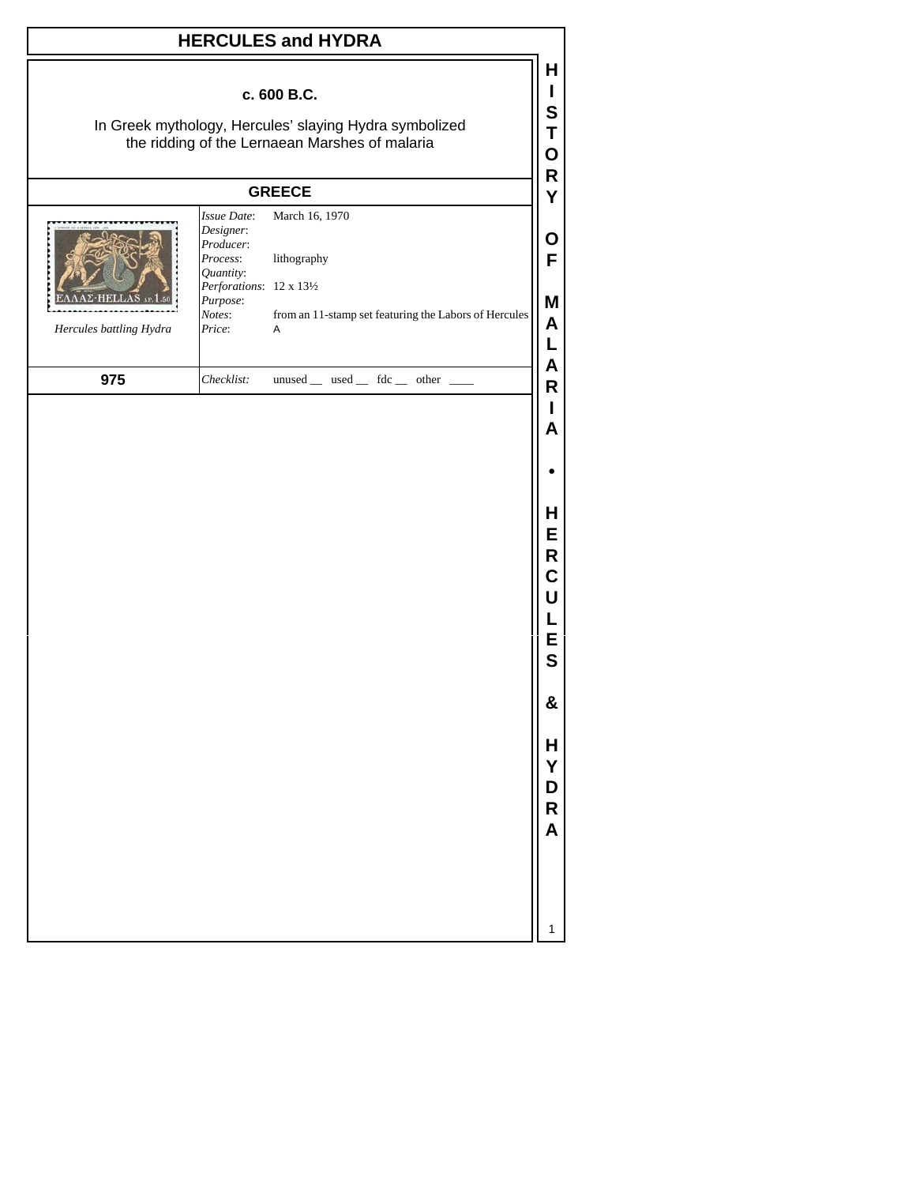## **HERCULES and HYDRA**

## **c. 600 B.C.**

In Greek mythology, Hercules' slaying Hydra symbolized the ridding of the Lernaean Marshes of malaria

## **GREECE**

| $\Sigma$ -HELLAS AP. 1.50<br>Hercules battling Hydra | Designer:<br>Producer:<br><i>Process:</i><br>Quantity:<br><i>Perforations</i> : $12 \times 13\frac{1}{2}$<br>Purpose:<br>Notes:<br>Price: | <i>Issue Date</i> : March 16, 1970<br>lithography<br>from an 11-stamp set featuring the Labors of Hercules<br>A |
|------------------------------------------------------|-------------------------------------------------------------------------------------------------------------------------------------------|-----------------------------------------------------------------------------------------------------------------|
| 975                                                  | Checklist:                                                                                                                                | unused used fdc other                                                                                           |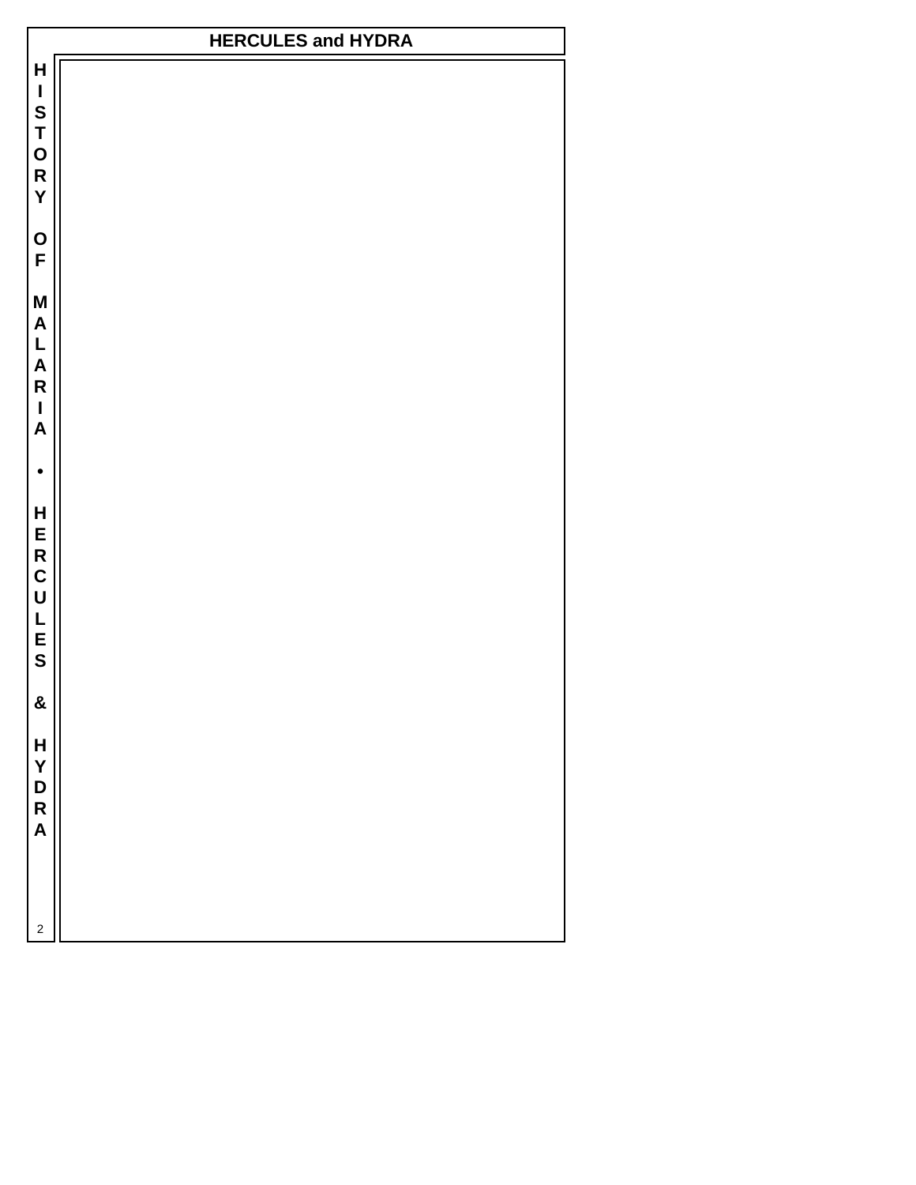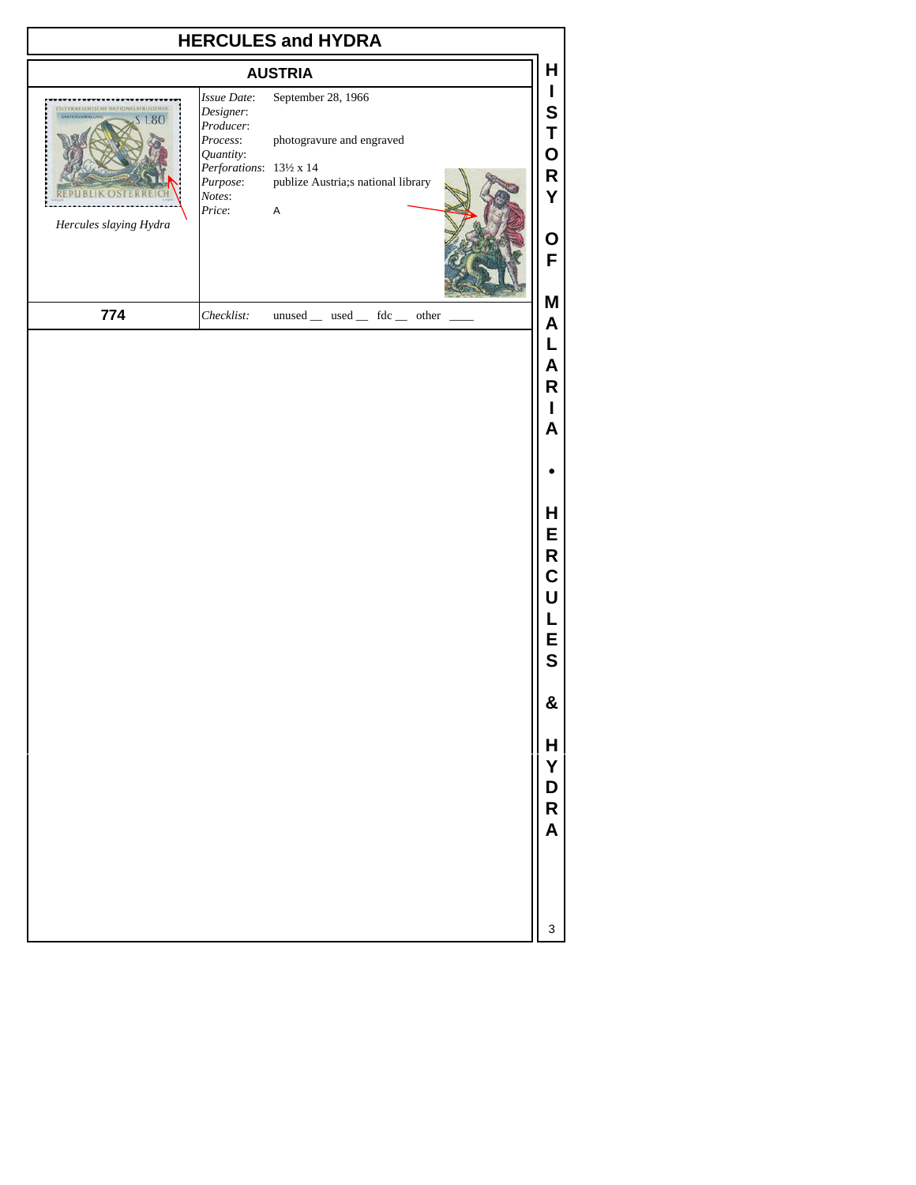| <b>HERCULES and HYDRA</b>                              |                                                                                                                            |                                                                                                      |                                      |  |  |  |  |
|--------------------------------------------------------|----------------------------------------------------------------------------------------------------------------------------|------------------------------------------------------------------------------------------------------|--------------------------------------|--|--|--|--|
| <b>AUSTRIA</b>                                         |                                                                                                                            |                                                                                                      |                                      |  |  |  |  |
| EICHISCHE NATIONALBIBLIOTHEI<br>Hercules slaying Hydra | Issue Date:<br>Designer:<br>Producer:<br>Process:<br>Quantity:<br>Perforations: 131/2 x 14<br>Purpose:<br>Notes:<br>Price: | September 28, 1966<br>photogravure and engraved<br>publize Austria;s national library<br>$\mathsf A$ | L<br>S<br>Τ<br>O<br>R<br>Y           |  |  |  |  |
|                                                        |                                                                                                                            |                                                                                                      | O<br>F<br>M                          |  |  |  |  |
| 774                                                    | Checklist:                                                                                                                 | unused _ used _ fdc _ other                                                                          | A<br>L<br>A<br>R<br>I<br>A           |  |  |  |  |
|                                                        |                                                                                                                            |                                                                                                      |                                      |  |  |  |  |
|                                                        |                                                                                                                            |                                                                                                      | Н<br>E<br>R<br>C<br>U<br>L<br>E<br>S |  |  |  |  |
|                                                        |                                                                                                                            |                                                                                                      | &                                    |  |  |  |  |
|                                                        |                                                                                                                            |                                                                                                      | H<br>Y<br>D<br>R<br>A                |  |  |  |  |
|                                                        |                                                                                                                            |                                                                                                      | 3                                    |  |  |  |  |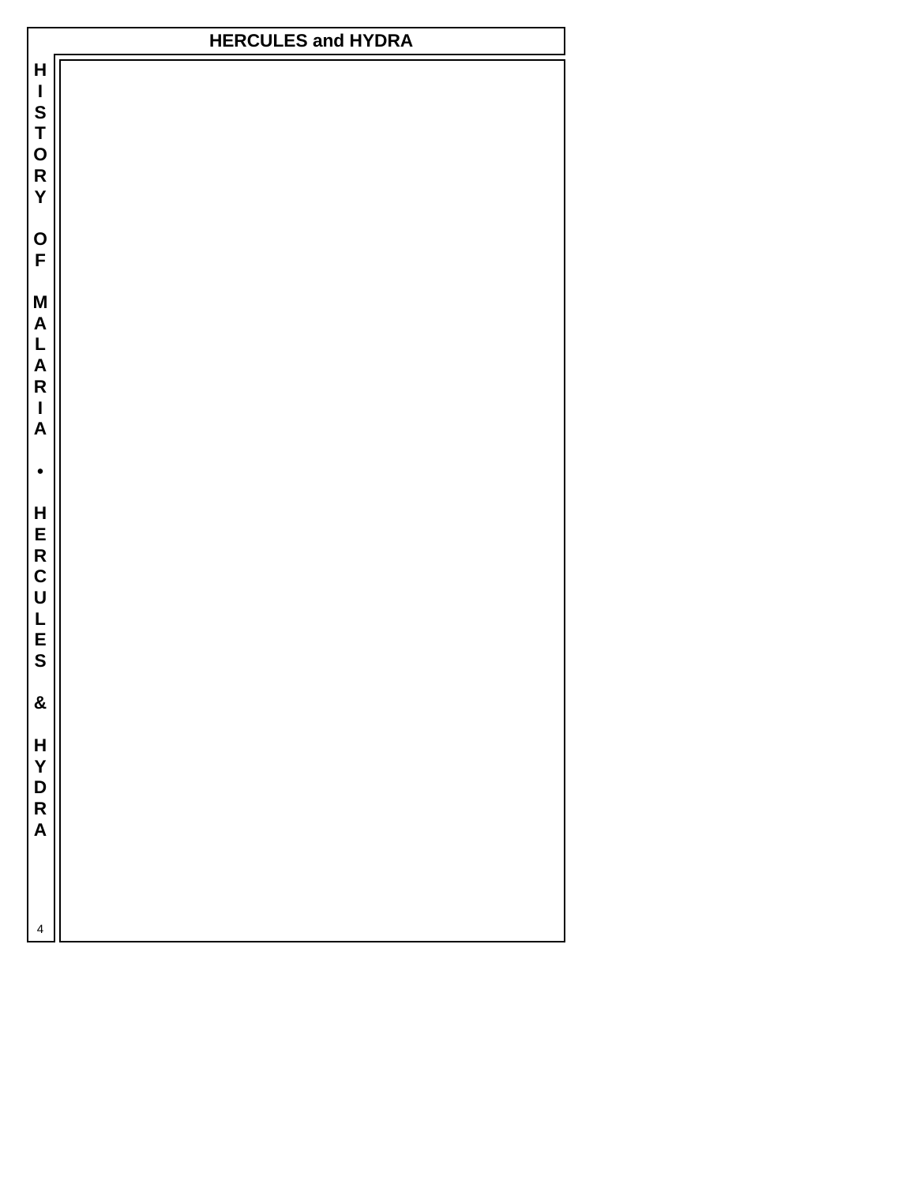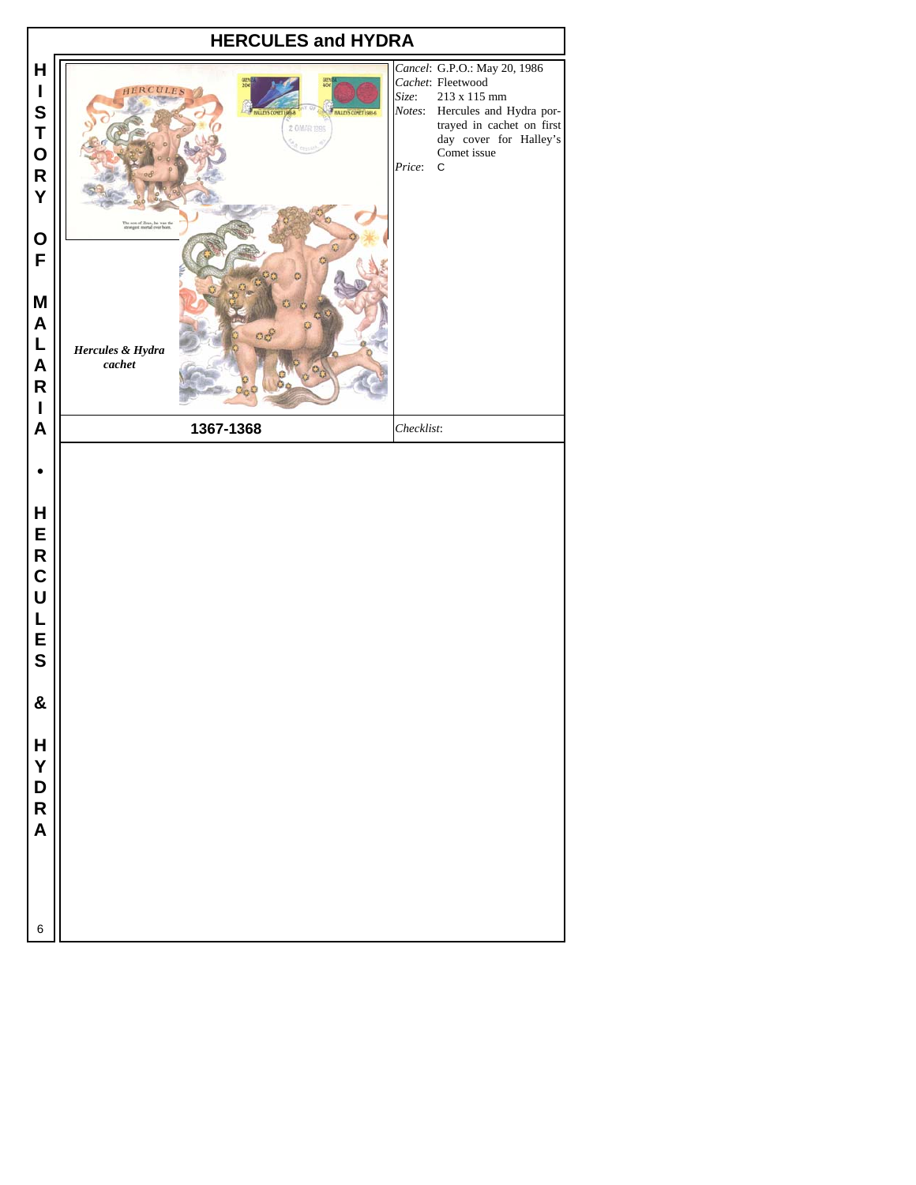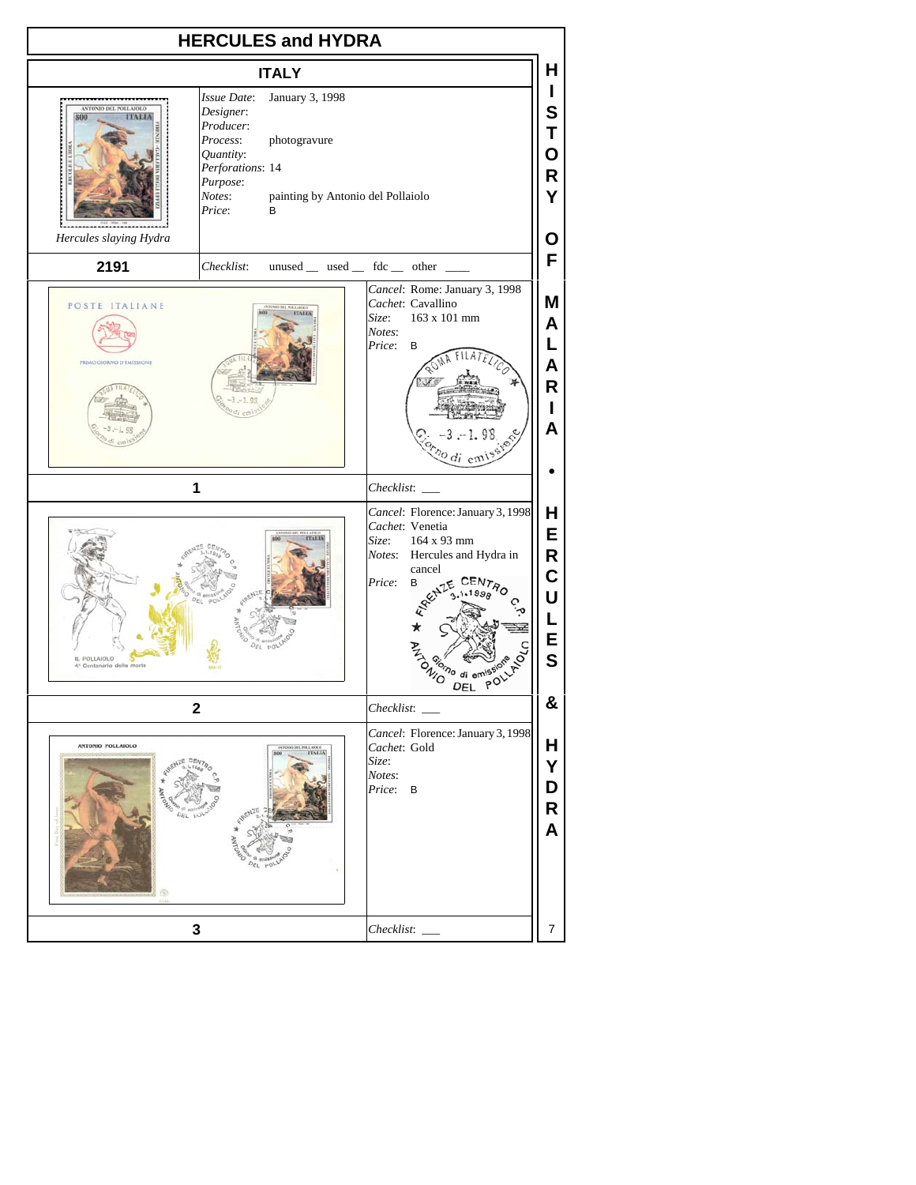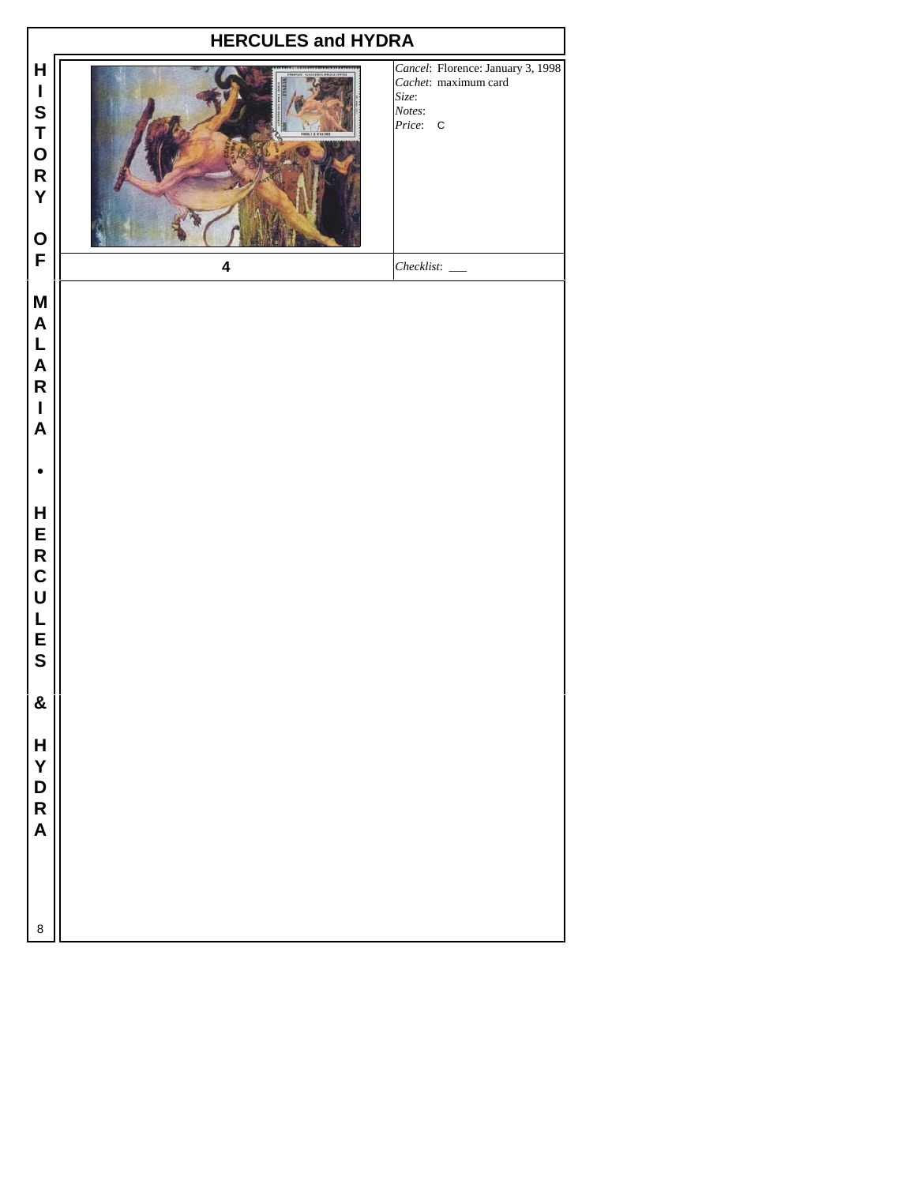| <b>HERCULES and HYDRA</b>                                                                                                                                   |                         |                                                                                          |  |  |  |  |  |  |  |
|-------------------------------------------------------------------------------------------------------------------------------------------------------------|-------------------------|------------------------------------------------------------------------------------------|--|--|--|--|--|--|--|
| $\mathsf{H}$<br>$\mathbf I$<br>S<br>T<br>O<br>R<br>Y<br>$\mathbf O$                                                                                         |                         | Cancel: Florence: January 3, 1998<br>Cachet: maximum card<br>Size:<br>Notes:<br>Price: C |  |  |  |  |  |  |  |
| F                                                                                                                                                           | $\overline{\mathbf{4}}$ |                                                                                          |  |  |  |  |  |  |  |
| $\boldsymbol{\mathsf{M}}$<br>$\boldsymbol{\mathsf{A}}$<br>$\mathsf L$<br>$\boldsymbol{\mathsf{A}}$<br>${\sf R}$<br>$\mathbf I$<br>$\boldsymbol{\mathsf{A}}$ |                         |                                                                                          |  |  |  |  |  |  |  |
|                                                                                                                                                             |                         |                                                                                          |  |  |  |  |  |  |  |
| $\mathsf{H}$<br>ERCU<br>L<br>E<br>S                                                                                                                         |                         |                                                                                          |  |  |  |  |  |  |  |
| &                                                                                                                                                           |                         |                                                                                          |  |  |  |  |  |  |  |
| $\mathsf{H}$<br>Y<br>D<br>$\mathsf{R}$<br>$\mathsf{A}$                                                                                                      |                         |                                                                                          |  |  |  |  |  |  |  |
| 8                                                                                                                                                           |                         |                                                                                          |  |  |  |  |  |  |  |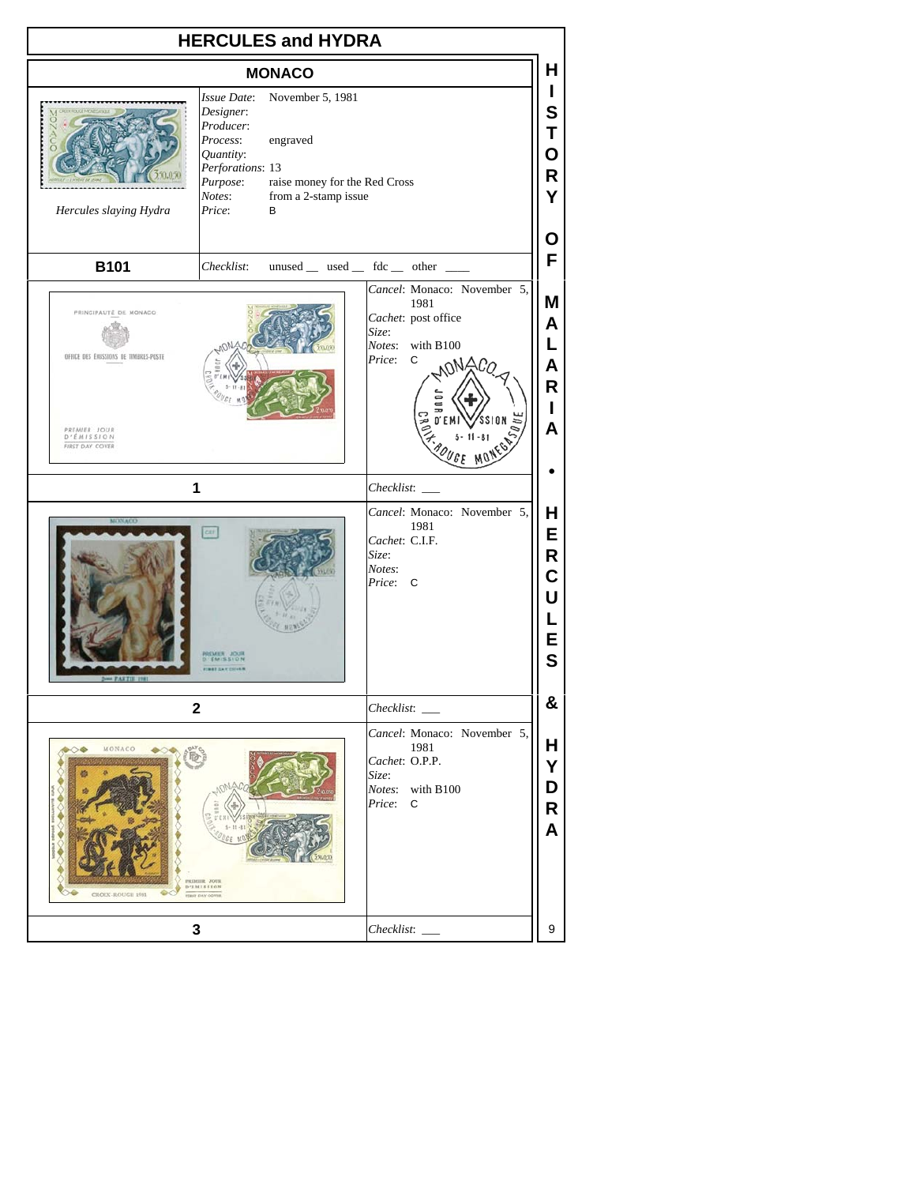| <b>HERCULES and HYDRA</b>                                                                                       |                                                                                                                                                                                                                  |  |  |                                                                                          |                                                                                                                            |                                                                               |
|-----------------------------------------------------------------------------------------------------------------|------------------------------------------------------------------------------------------------------------------------------------------------------------------------------------------------------------------|--|--|------------------------------------------------------------------------------------------|----------------------------------------------------------------------------------------------------------------------------|-------------------------------------------------------------------------------|
| <b>MONACO</b>                                                                                                   |                                                                                                                                                                                                                  |  |  |                                                                                          |                                                                                                                            |                                                                               |
| Hercules slaying Hydra                                                                                          | Issue Date:<br>November 5, 1981<br>Designer:<br>Producer:<br>Process:<br>engraved<br>Quantity:<br>Perforations: 13<br>Purpose:<br>raise money for the Red Cross<br>from a 2-stamp issue<br>Notes:<br>Price:<br>B |  |  |                                                                                          |                                                                                                                            |                                                                               |
| <b>B101</b>                                                                                                     | Checklist:                                                                                                                                                                                                       |  |  |                                                                                          | unused _ used _ fdc _ other _                                                                                              | Ο<br>F                                                                        |
| PRINCIPAUTÉ DE MONACO<br>OFFICE DES EMISSIONS DE TIMBRES-POSTE<br>PREMIER JOUR<br>D'ÉMISSION<br>FIRST DAY COVER | 1<br>car<br><b>EMER JOUR</b><br><b>MAY CAY COLLER</b>                                                                                                                                                            |  |  | Size:<br>Notes:<br>Price:<br>Checklist:<br>Cachet: C.I.F.<br>Size:<br>Notes:<br>Price: C | Cancel: Monaco: November 5,<br>1981<br>Cachet: post office<br>with B100<br>С<br>MAC<br>Cancel: Monaco: November 5,<br>1981 | Μ<br>A<br>L<br>A<br>R<br>L<br>A<br>Н<br>E<br>R<br>C<br>U<br>E<br>$\mathbf{s}$ |
|                                                                                                                 | $\mathbf 2$                                                                                                                                                                                                      |  |  | Checklist:                                                                               |                                                                                                                            | &                                                                             |
| MONACO<br>$\rightarrow$<br>CROIX-ROUGH 1981                                                                     | PREMIR JOUR<br>D'EMISSION<br><b>FEAT DAY COVER</b>                                                                                                                                                               |  |  | Size:<br>Price:                                                                          | Cancel: Monaco: November 5,<br>1981<br>Cachet: O.P.P.<br>Notes: with B100<br>С                                             | Н<br>Υ<br>D<br>R<br>A                                                         |
|                                                                                                                 | 3                                                                                                                                                                                                                |  |  |                                                                                          |                                                                                                                            | 9                                                                             |